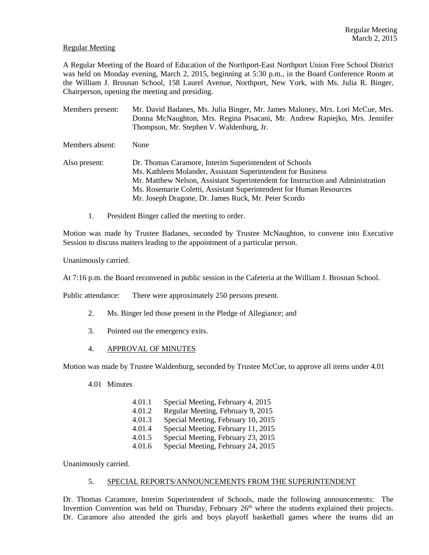# Regular Meeting

A Regular Meeting of the Board of Education of the Northport-East Northport Union Free School District was held on Monday evening, March 2, 2015, beginning at 5:30 p.m., in the Board Conference Room at the William J. Brosnan School, 158 Laurel Avenue, Northport, New York, with Ms. Julia R. Binger, Chairperson, opening the meeting and presiding.

- Members present: Mr. David Badanes, Ms. Julia Binger, Mr. James Maloney, Mrs. Lori McCue, Mrs. Donna McNaughton, Mrs. Regina Pisacani, Mr. Andrew Rapiejko, Mrs. Jennifer Thompson, Mr. Stephen V. Waldenburg, Jr. Members absent: None Also present: Dr. Thomas Caramore, Interim Superintendent of Schools Ms. Kathleen Molander, Assistant Superintendent for Business Mr. Matthew Nelson, Assistant Superintendent for Instruction and Administration
	- Ms. Rosemarie Coletti, Assistant Superintendent for Human Resources
	- Mr. Joseph Dragone, Dr. James Ruck, Mr. Peter Scordo
	- 1. President Binger called the meeting to order.

Motion was made by Trustee Badanes, seconded by Trustee McNaughton, to convene into Executive Session to discuss matters leading to the appointment of a particular person.

Unanimously carried.

At 7:16 p.m. the Board reconvened in public session in the Cafeteria at the William J. Brosnan School.

Public attendance: There were approximately 250 persons present.

- 2. Ms. Binger led those present in the Pledge of Allegiance; and
- 3. Pointed out the emergency exits.
- 4. APPROVAL OF MINUTES

Motion was made by Trustee Waldenburg, seconded by Trustee McCue, to approve all items under 4.01

- 4.01 Minutes
	- 4.01.1 Special Meeting, February 4, 2015 4.01.2 Regular Meeting, February 9, 2015 4.01.3 Special Meeting, February 10, 2015 4.01.4 Special Meeting, February 11, 2015 4.01.5 Special Meeting, February 23, 2015 4.01.6 Special Meeting, February 24, 2015

Unanimously carried.

### 5. SPECIAL REPORTS/ANNOUNCEMENTS FROM THE SUPERINTENDENT

Dr. Thomas Caramore, Interim Superintendent of Schools, made the following announcements: The Invention Convention was held on Thursday, February  $26<sup>th</sup>$  where the students explained their projects. Dr. Caramore also attended the girls and boys playoff basketball games where the teams did an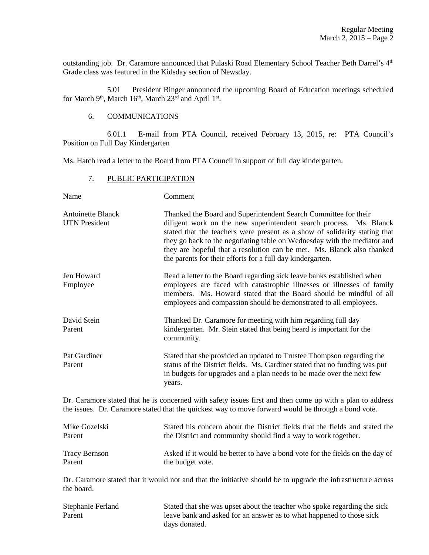outstanding job. Dr. Caramore announced that Pulaski Road Elementary School Teacher Beth Darrel's 4<sup>th</sup> Grade class was featured in the Kidsday section of Newsday.

 5.01 President Binger announced the upcoming Board of Education meetings scheduled for March 9<sup>th</sup>, March 16<sup>th</sup>, March 23<sup>rd</sup> and April 1<sup>st</sup>.

# 6. COMMUNICATIONS

 6.01.1 E-mail from PTA Council, received February 13, 2015, re: PTA Council's Position on Full Day Kindergarten

Ms. Hatch read a letter to the Board from PTA Council in support of full day kindergarten.

## 7. PUBLIC PARTICIPATION

| Thanked the Board and Superintendent Search Committee for their<br>diligent work on the new superintendent search process. Ms. Blanck<br>stated that the teachers were present as a show of solidarity stating that<br>they go back to the negotiating table on Wednesday with the mediator and<br>they are hopeful that a resolution can be met. Ms. Blanck also thanked<br>the parents for their efforts for a full day kindergarten.<br>Read a letter to the Board regarding sick leave banks established when |
|-------------------------------------------------------------------------------------------------------------------------------------------------------------------------------------------------------------------------------------------------------------------------------------------------------------------------------------------------------------------------------------------------------------------------------------------------------------------------------------------------------------------|
|                                                                                                                                                                                                                                                                                                                                                                                                                                                                                                                   |
| employees are faced with catastrophic illnesses or illnesses of family<br>members. Ms. Howard stated that the Board should be mindful of all<br>employees and compassion should be demonstrated to all employees.                                                                                                                                                                                                                                                                                                 |
| Thanked Dr. Caramore for meeting with him regarding full day<br>kindergarten. Mr. Stein stated that being heard is important for the<br>community.                                                                                                                                                                                                                                                                                                                                                                |
| Stated that she provided an updated to Trustee Thompson regarding the<br>status of the District fields. Ms. Gardiner stated that no funding was put<br>in budgets for upgrades and a plan needs to be made over the next few<br>years.                                                                                                                                                                                                                                                                            |
|                                                                                                                                                                                                                                                                                                                                                                                                                                                                                                                   |

Dr. Caramore stated that he is concerned with safety issues first and then come up with a plan to address the issues. Dr. Caramore stated that the quickest way to move forward would be through a bond vote.

| Mike Gozelski | Stated his concern about the District fields that the fields and stated the  |
|---------------|------------------------------------------------------------------------------|
| Parent        | the District and community should find a way to work together.               |
| Tracy Bernson | Asked if it would be better to have a bond vote for the fields on the day of |
| Parent        | the budget vote.                                                             |

Dr. Caramore stated that it would not and that the initiative should be to upgrade the infrastructure across the board.

| Stephanie Ferland | Stated that she was upset about the teacher who spoke regarding the sick |
|-------------------|--------------------------------------------------------------------------|
| Parent            | leave bank and asked for an answer as to what happened to those sick     |
|                   | days donated.                                                            |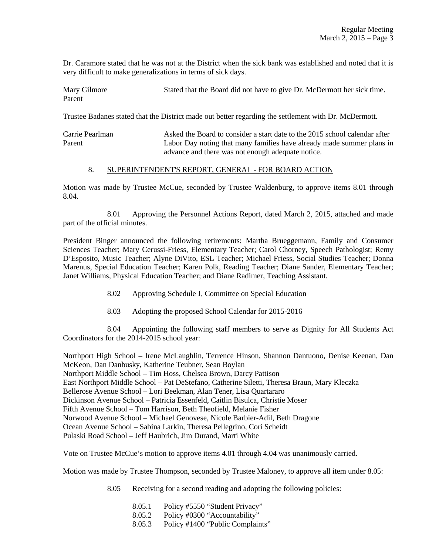Dr. Caramore stated that he was not at the District when the sick bank was established and noted that it is very difficult to make generalizations in terms of sick days.

Mary Gilmore Stated that the Board did not have to give Dr. McDermott her sick time. Parent

Trustee Badanes stated that the District made out better regarding the settlement with Dr. McDermott.

Carrie Pearlman Asked the Board to consider a start date to the 2015 school calendar after Parent Labor Day noting that many families have already made summer plans in advance and there was not enough adequate notice.

## 8. SUPERINTENDENT'S REPORT, GENERAL - FOR BOARD ACTION

Motion was made by Trustee McCue, seconded by Trustee Waldenburg, to approve items 8.01 through 8.04.

 8.01 Approving the Personnel Actions Report, dated March 2, 2015, attached and made part of the official minutes.

President Binger announced the following retirements: Martha Brueggemann, Family and Consumer Sciences Teacher; Mary Cerussi-Friess, Elementary Teacher; Carol Chorney, Speech Pathologist; Remy D'Esposito, Music Teacher; Alyne DiVito, ESL Teacher; Michael Friess, Social Studies Teacher; Donna Marenus, Special Education Teacher; Karen Polk, Reading Teacher; Diane Sander, Elementary Teacher; Janet Williams, Physical Education Teacher; and Diane Radimer, Teaching Assistant.

- 8.02 Approving Schedule J, Committee on Special Education
- 8.03 Adopting the proposed School Calendar for 2015-2016

 8.04 Appointing the following staff members to serve as Dignity for All Students Act Coordinators for the 2014-2015 school year:

Northport High School – Irene McLaughlin, Terrence Hinson, Shannon Dantuono, Denise Keenan, Dan McKeon, Dan Danbusky, Katherine Teubner, Sean Boylan Northport Middle School – Tim Hoss, Chelsea Brown, Darcy Pattison East Northport Middle School – Pat DeStefano, Catherine Siletti, Theresa Braun, Mary Kleczka Bellerose Avenue School – Lori Beekman, Alan Tener, Lisa Quartararo Dickinson Avenue School – Patricia Essenfeld, Caitlin Bisulca, Christie Moser Fifth Avenue School – Tom Harrison, Beth Theofield, Melanie Fisher Norwood Avenue School – Michael Genovese, Nicole Barbier-Adil, Beth Dragone Ocean Avenue School – Sabina Larkin, Theresa Pellegrino, Cori Scheidt Pulaski Road School – Jeff Haubrich, Jim Durand, Marti White

Vote on Trustee McCue's motion to approve items 4.01 through 4.04 was unanimously carried.

Motion was made by Trustee Thompson, seconded by Trustee Maloney, to approve all item under 8.05:

8.05 Receiving for a second reading and adopting the following policies:

- 8.05.1 Policy #5550 "Student Privacy"
- 8.05.2 Policy #0300 "Accountability"
- 8.05.3 Policy #1400 "Public Complaints"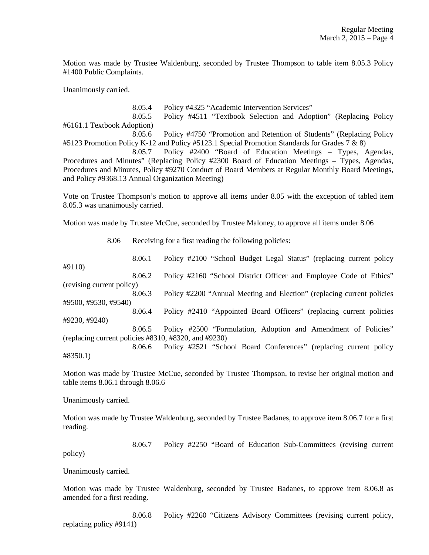Motion was made by Trustee Waldenburg, seconded by Trustee Thompson to table item 8.05.3 Policy #1400 Public Complaints.

Unanimously carried.

 8.05.4 Policy #4325 "Academic Intervention Services" 8.05.5 Policy #4511 "Textbook Selection and Adoption" (Replacing Policy #6161.1 Textbook Adoption) 8.05.6 Policy #4750 "Promotion and Retention of Students" (Replacing Policy #5123 Promotion Policy K-12 and Policy #5123.1 Special Promotion Standards for Grades 7 & 8) 8.05.7 Policy #2400 "Board of Education Meetings – Types, Agendas, Procedures and Minutes" (Replacing Policy #2300 Board of Education Meetings – Types, Agendas, Procedures and Minutes, Policy #9270 Conduct of Board Members at Regular Monthly Board Meetings, and Policy #9368.13 Annual Organization Meeting)

Vote on Trustee Thompson's motion to approve all items under 8.05 with the exception of tabled item 8.05.3 was unanimously carried.

Motion was made by Trustee McCue, seconded by Trustee Maloney, to approve all items under 8.06

8.06 Receiving for a first reading the following policies:

 8.06.1 Policy #2100 "School Budget Legal Status" (replacing current policy #9110) 8.06.2 Policy #2160 "School District Officer and Employee Code of Ethics" (revising current policy) 8.06.3 Policy #2200 "Annual Meeting and Election" (replacing current policies #9500, #9530, #9540) 8.06.4 Policy #2410 "Appointed Board Officers" (replacing current policies #9230, #9240) 8.06.5 Policy #2500 "Formulation, Adoption and Amendment of Policies" (replacing current policies #8310, #8320, and #9230) 8.06.6 Policy #2521 "School Board Conferences" (replacing current policy #8350.1)

Motion was made by Trustee McCue, seconded by Trustee Thompson, to revise her original motion and table items 8.06.1 through 8.06.6

Unanimously carried.

Motion was made by Trustee Waldenburg, seconded by Trustee Badanes, to approve item 8.06.7 for a first reading.

 8.06.7 Policy #2250 "Board of Education Sub-Committees (revising current policy)

Unanimously carried.

Motion was made by Trustee Waldenburg, seconded by Trustee Badanes, to approve item 8.06.8 as amended for a first reading.

 8.06.8 Policy #2260 "Citizens Advisory Committees (revising current policy, replacing policy #9141)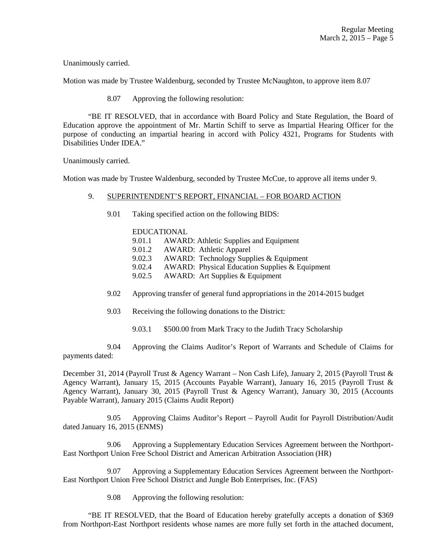Unanimously carried.

Motion was made by Trustee Waldenburg, seconded by Trustee McNaughton, to approve item 8.07

8.07 Approving the following resolution:

 "BE IT RESOLVED, that in accordance with Board Policy and State Regulation, the Board of Education approve the appointment of Mr. Martin Schiff to serve as Impartial Hearing Officer for the purpose of conducting an impartial hearing in accord with Policy 4321, Programs for Students with Disabilities Under IDEA."

Unanimously carried.

Motion was made by Trustee Waldenburg, seconded by Trustee McCue, to approve all items under 9.

### 9. SUPERINTENDENT'S REPORT, FINANCIAL – FOR BOARD ACTION

9.01 Taking specified action on the following BIDS:

## EDUCATIONAL

- 9.01.1 AWARD: Athletic Supplies and Equipment
- 9.01.2 AWARD: Athletic Apparel
- 9.02.3 AWARD: Technology Supplies & Equipment
- 9.02.4 AWARD: Physical Education Supplies & Equipment
- 9.02.5 AWARD: Art Supplies & Equipment
- 9.02 Approving transfer of general fund appropriations in the 2014-2015 budget
- 9.03 Receiving the following donations to the District:
	- 9.03.1 \$500.00 from Mark Tracy to the Judith Tracy Scholarship

 9.04 Approving the Claims Auditor's Report of Warrants and Schedule of Claims for payments dated:

December 31, 2014 (Payroll Trust & Agency Warrant – Non Cash Life), January 2, 2015 (Payroll Trust & Agency Warrant), January 15, 2015 (Accounts Payable Warrant), January 16, 2015 (Payroll Trust & Agency Warrant), January 30, 2015 (Payroll Trust & Agency Warrant), January 30, 2015 (Accounts Payable Warrant), January 2015 (Claims Audit Report)

 9.05 Approving Claims Auditor's Report – Payroll Audit for Payroll Distribution/Audit dated January 16, 2015 (ENMS)

 9.06 Approving a Supplementary Education Services Agreement between the Northport-East Northport Union Free School District and American Arbitration Association (HR)

 9.07 Approving a Supplementary Education Services Agreement between the Northport-East Northport Union Free School District and Jungle Bob Enterprises, Inc. (FAS)

9.08 Approving the following resolution:

 "BE IT RESOLVED, that the Board of Education hereby gratefully accepts a donation of \$369 from Northport-East Northport residents whose names are more fully set forth in the attached document,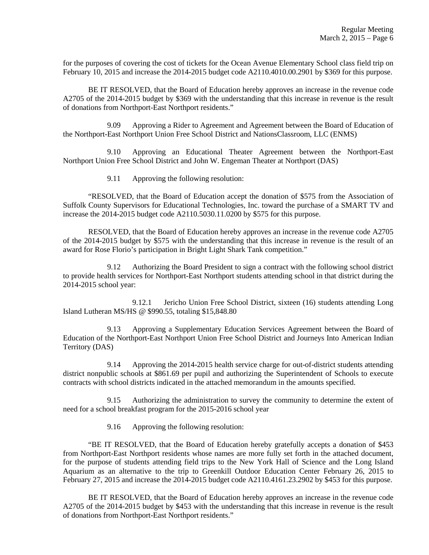for the purposes of covering the cost of tickets for the Ocean Avenue Elementary School class field trip on February 10, 2015 and increase the 2014-2015 budget code A2110.4010.00.2901 by \$369 for this purpose.

 BE IT RESOLVED, that the Board of Education hereby approves an increase in the revenue code A2705 of the 2014-2015 budget by \$369 with the understanding that this increase in revenue is the result of donations from Northport-East Northport residents."

 9.09 Approving a Rider to Agreement and Agreement between the Board of Education of the Northport-East Northport Union Free School District and NationsClassroom, LLC (ENMS)

 9.10 Approving an Educational Theater Agreement between the Northport-East Northport Union Free School District and John W. Engeman Theater at Northport (DAS)

9.11 Approving the following resolution:

 "RESOLVED, that the Board of Education accept the donation of \$575 from the Association of Suffolk County Supervisors for Educational Technologies, Inc. toward the purchase of a SMART TV and increase the 2014-2015 budget code A2110.5030.11.0200 by \$575 for this purpose.

 RESOLVED, that the Board of Education hereby approves an increase in the revenue code A2705 of the 2014-2015 budget by \$575 with the understanding that this increase in revenue is the result of an award for Rose Florio's participation in Bright Light Shark Tank competition."

 9.12 Authorizing the Board President to sign a contract with the following school district to provide health services for Northport-East Northport students attending school in that district during the 2014-2015 school year:

 9.12.1 Jericho Union Free School District, sixteen (16) students attending Long Island Lutheran MS/HS @ \$990.55, totaling \$15,848.80

 9.13 Approving a Supplementary Education Services Agreement between the Board of Education of the Northport-East Northport Union Free School District and Journeys Into American Indian Territory (DAS)

 9.14 Approving the 2014-2015 health service charge for out-of-district students attending district nonpublic schools at \$861.69 per pupil and authorizing the Superintendent of Schools to execute contracts with school districts indicated in the attached memorandum in the amounts specified.

 9.15 Authorizing the administration to survey the community to determine the extent of need for a school breakfast program for the 2015-2016 school year

9.16 Approving the following resolution:

 "BE IT RESOLVED, that the Board of Education hereby gratefully accepts a donation of \$453 from Northport-East Northport residents whose names are more fully set forth in the attached document, for the purpose of students attending field trips to the New York Hall of Science and the Long Island Aquarium as an alternative to the trip to Greenkill Outdoor Education Center February 26, 2015 to February 27, 2015 and increase the 2014-2015 budget code A2110.4161.23.2902 by \$453 for this purpose.

 BE IT RESOLVED, that the Board of Education hereby approves an increase in the revenue code A2705 of the 2014-2015 budget by \$453 with the understanding that this increase in revenue is the result of donations from Northport-East Northport residents."